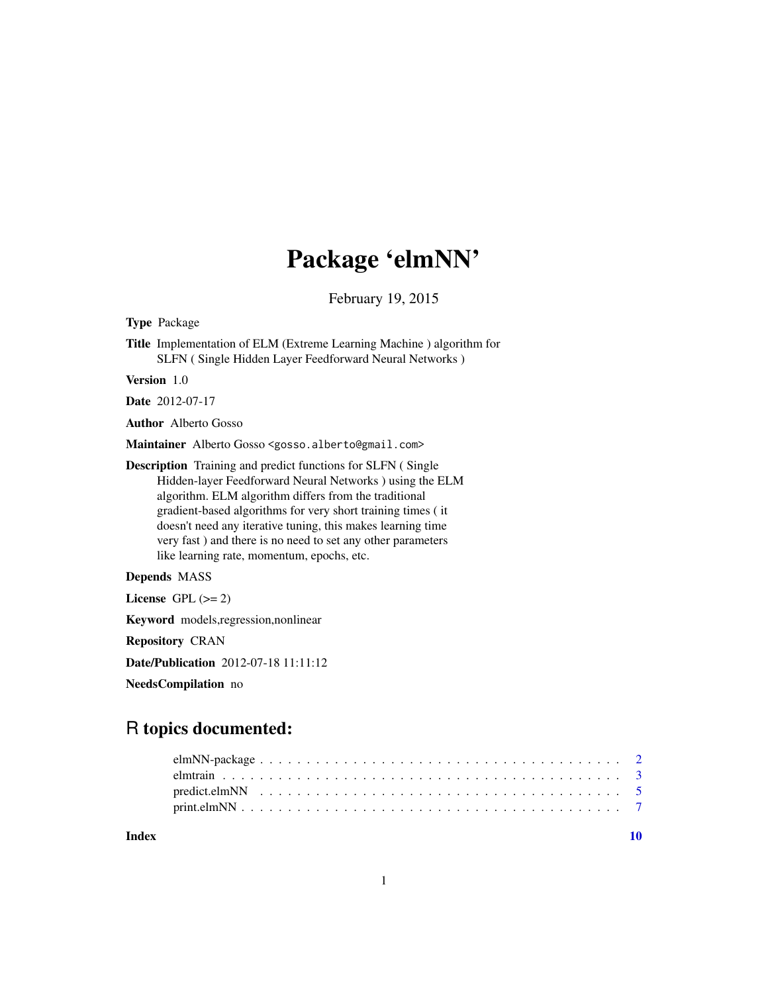# Package 'elmNN'

February 19, 2015

<span id="page-0-0"></span>Type Package

Title Implementation of ELM (Extreme Learning Machine ) algorithm for SLFN ( Single Hidden Layer Feedforward Neural Networks )

Version 1.0

Date 2012-07-17

Author Alberto Gosso

Maintainer Alberto Gosso <gosso.alberto@gmail.com>

Description Training and predict functions for SLFN ( Single Hidden-layer Feedforward Neural Networks ) using the ELM algorithm. ELM algorithm differs from the traditional gradient-based algorithms for very short training times ( it doesn't need any iterative tuning, this makes learning time very fast ) and there is no need to set any other parameters like learning rate, momentum, epochs, etc.

Depends MASS

License GPL  $(>= 2)$ 

Keyword models,regression,nonlinear

Repository CRAN

Date/Publication 2012-07-18 11:11:12

NeedsCompilation no

# R topics documented:

 $\blacksquare$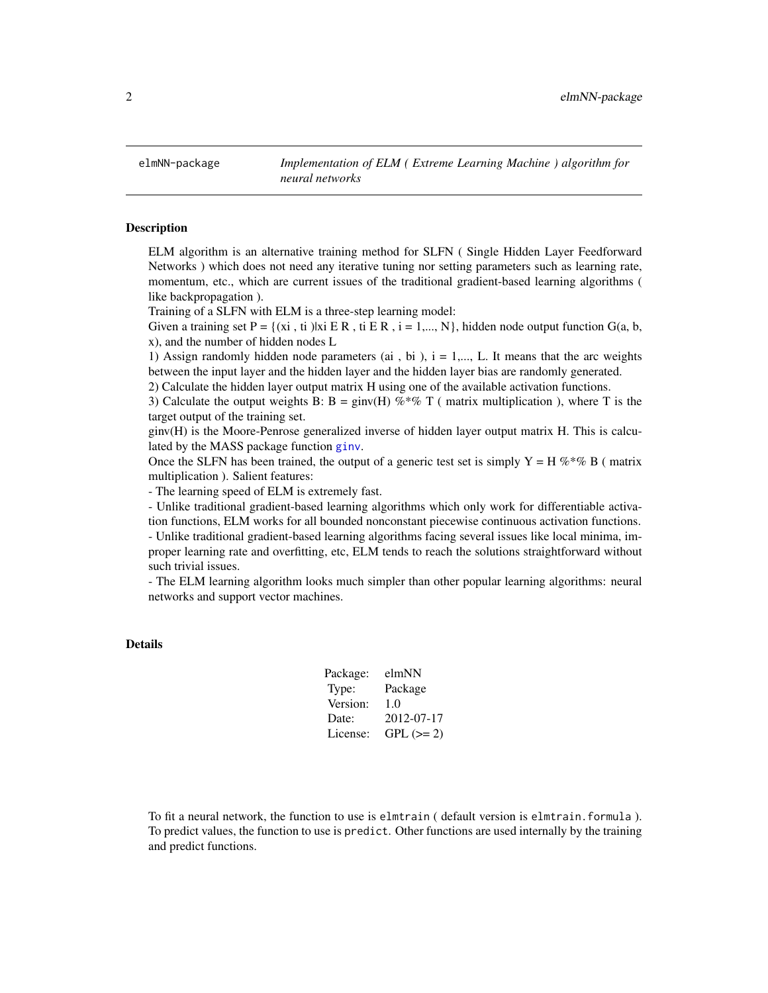<span id="page-1-1"></span><span id="page-1-0"></span>

# Description

ELM algorithm is an alternative training method for SLFN ( Single Hidden Layer Feedforward Networks ) which does not need any iterative tuning nor setting parameters such as learning rate, momentum, etc., which are current issues of the traditional gradient-based learning algorithms ( like backpropagation ).

Training of a SLFN with ELM is a three-step learning model:

Given a training set P = {(xi, ti)|xi E R, ti E R, i = 1,..., N}, hidden node output function G(a, b, x), and the number of hidden nodes L

1) Assign randomly hidden node parameters (ai, bi),  $i = 1,..., L$ . It means that the arc weights between the input layer and the hidden layer and the hidden layer bias are randomly generated.

2) Calculate the hidden layer output matrix H using one of the available activation functions.

3) Calculate the output weights B: B = ginv(H) %\*% T ( matrix multiplication ), where T is the target output of the training set.

ginv(H) is the Moore-Penrose generalized inverse of hidden layer output matrix H. This is calculated by the MASS package function [ginv](#page-0-0).

Once the SLFN has been trained, the output of a generic test set is simply  $Y = H \%^* \% B$  (matrix multiplication ). Salient features:

- The learning speed of ELM is extremely fast.

- Unlike traditional gradient-based learning algorithms which only work for differentiable activation functions, ELM works for all bounded nonconstant piecewise continuous activation functions. - Unlike traditional gradient-based learning algorithms facing several issues like local minima, improper learning rate and overfitting, etc, ELM tends to reach the solutions straightforward without such trivial issues.

- The ELM learning algorithm looks much simpler than other popular learning algorithms: neural networks and support vector machines.

#### Details

| Package: | elmNN      |
|----------|------------|
| Type:    | Package    |
| Version: | 1.0        |
| Date:    | 2012-07-17 |
| License: | $GPL (=2)$ |

To fit a neural network, the function to use is elmtrain ( default version is elmtrain.formula ). To predict values, the function to use is predict. Other functions are used internally by the training and predict functions.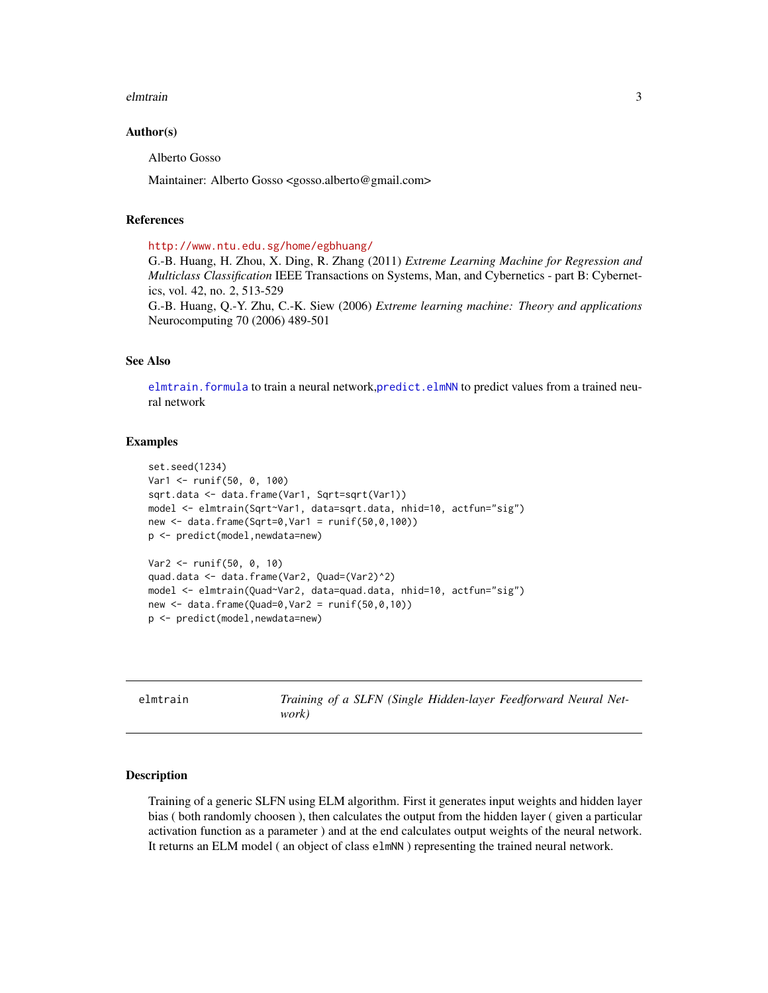#### <span id="page-2-0"></span>elmtrain 3

# Author(s)

Alberto Gosso

Maintainer: Alberto Gosso <gosso.alberto@gmail.com>

# References

<http://www.ntu.edu.sg/home/egbhuang/>

G.-B. Huang, H. Zhou, X. Ding, R. Zhang (2011) *Extreme Learning Machine for Regression and Multiclass Classification* IEEE Transactions on Systems, Man, and Cybernetics - part B: Cybernetics, vol. 42, no. 2, 513-529

G.-B. Huang, Q.-Y. Zhu, C.-K. Siew (2006) *Extreme learning machine: Theory and applications* Neurocomputing 70 (2006) 489-501

# See Also

elmtrain. formula to train a neural network, predict. elmNN to predict values from a trained neural network

# Examples

```
set.seed(1234)
Var1 <- runif(50, 0, 100)
sqrt.data <- data.frame(Var1, Sqrt=sqrt(Var1))
model <- elmtrain(Sqrt~Var1, data=sqrt.data, nhid=10, actfun="sig")
new <- data.frame(Sqrt=0,Var1 = runif(50,0,100))
p <- predict(model,newdata=new)
Var2 <- runif(50, 0, 10)
quad.data <- data.frame(Var2, Quad=(Var2)^2)
model <- elmtrain(Quad~Var2, data=quad.data, nhid=10, actfun="sig")
new < - data.frame(Quad=0,Var2 = runif(50,0,10))
p <- predict(model,newdata=new)
```
elmtrain *Training of a SLFN (Single Hidden-layer Feedforward Neural Network)*

#### <span id="page-2-1"></span>Description

Training of a generic SLFN using ELM algorithm. First it generates input weights and hidden layer bias ( both randomly choosen ), then calculates the output from the hidden layer ( given a particular activation function as a parameter ) and at the end calculates output weights of the neural network. It returns an ELM model ( an object of class elmNN ) representing the trained neural network.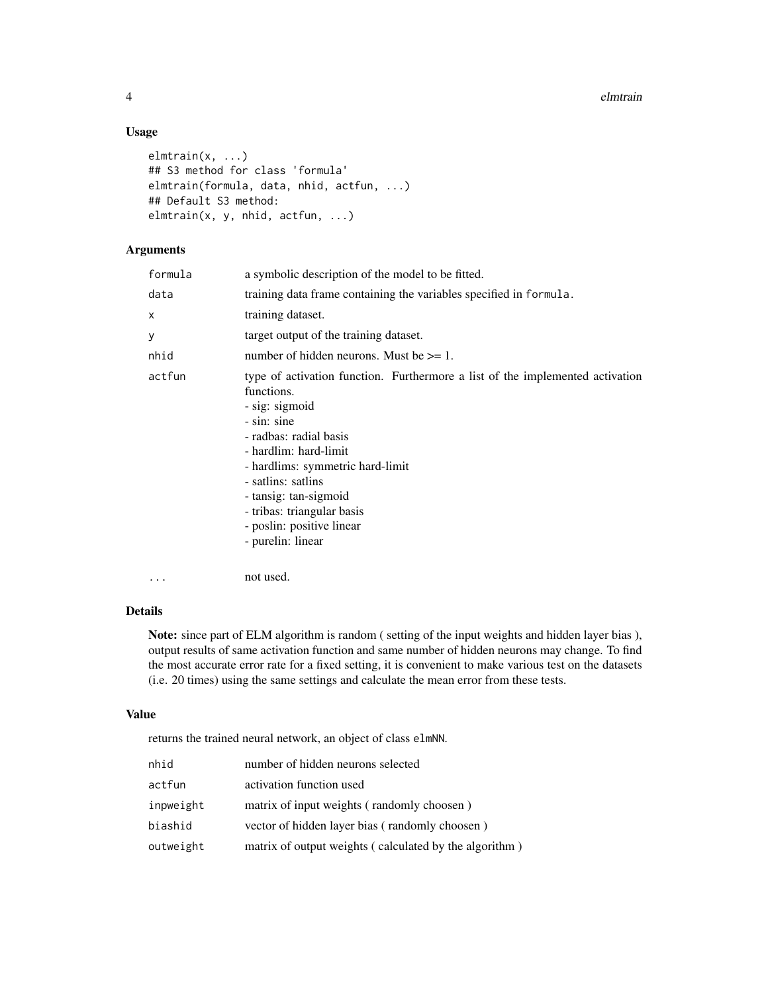4 electric extension of the contract of the contract of the contract of the contract of the contract of the contract of the contract of the contract of the contract of the contract of the contract of the contract of the co

# Usage

```
elmtrain(x, ...)
## S3 method for class 'formula'
elmtrain(formula, data, nhid, actfun, ...)
## Default S3 method:
elmtrain(x, y, nhid, actfun, ...)
```
# Arguments

| formula | a symbolic description of the model to be fitted.                                                                                                                                                                                                                                                                                                  |
|---------|----------------------------------------------------------------------------------------------------------------------------------------------------------------------------------------------------------------------------------------------------------------------------------------------------------------------------------------------------|
| data    | training data frame containing the variables specified in formula.                                                                                                                                                                                                                                                                                 |
| X       | training dataset.                                                                                                                                                                                                                                                                                                                                  |
| У       | target output of the training dataset.                                                                                                                                                                                                                                                                                                             |
| nhid    | number of hidden neurons. Must be $\geq 1$ .                                                                                                                                                                                                                                                                                                       |
| actfun  | type of activation function. Furthermore a list of the implemented activation<br>functions.<br>- sig: sigmoid<br>- sin: sine<br>- radbas: radial basis<br>- hardlim: hard-limit<br>- hardlims: symmetric hard-limit<br>- satlins: satlins<br>- tansig: tan-sigmoid<br>- tribas: triangular basis<br>- poslin: positive linear<br>- purelin: linear |

# Details

... not used.

Note: since part of ELM algorithm is random ( setting of the input weights and hidden layer bias ), output results of same activation function and same number of hidden neurons may change. To find the most accurate error rate for a fixed setting, it is convenient to make various test on the datasets (i.e. 20 times) using the same settings and calculate the mean error from these tests.

#### Value

returns the trained neural network, an object of class elmNN.

| activation function used<br>actfun<br>matrix of input weights (randomly choosen)<br>inpweight<br>vector of hidden layer bias (randomly choosen)<br>biashid<br>outweight | nhid | number of hidden neurons selected                      |
|-------------------------------------------------------------------------------------------------------------------------------------------------------------------------|------|--------------------------------------------------------|
|                                                                                                                                                                         |      |                                                        |
|                                                                                                                                                                         |      |                                                        |
|                                                                                                                                                                         |      |                                                        |
|                                                                                                                                                                         |      | matrix of output weights (calculated by the algorithm) |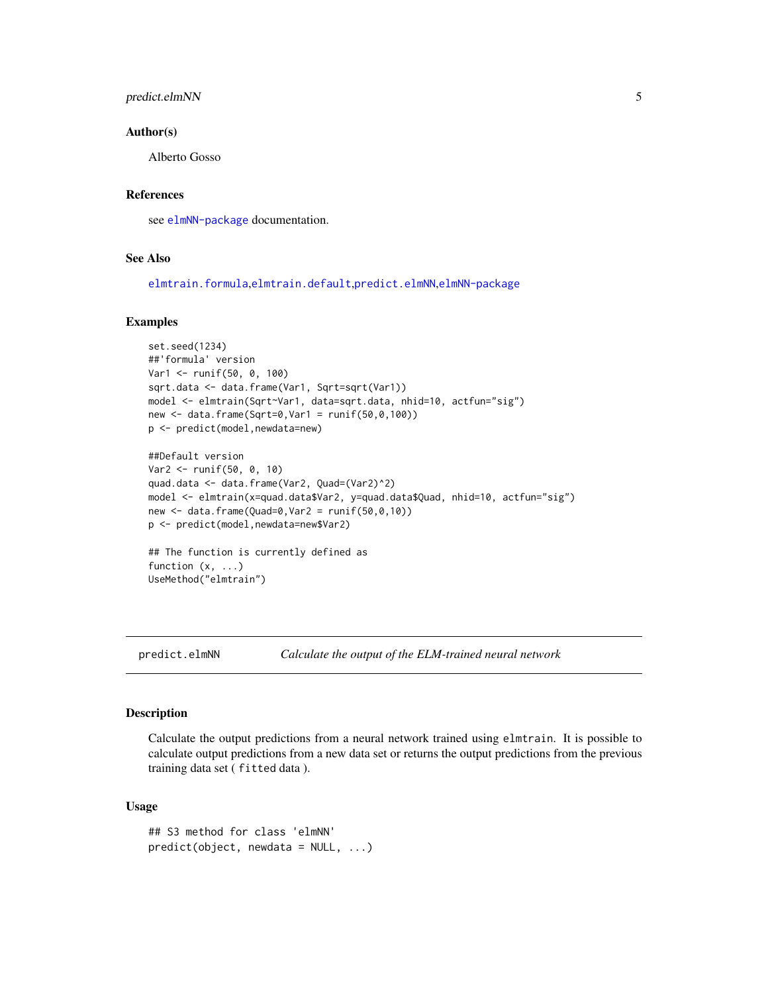# <span id="page-4-0"></span>predict.elmNN 5

#### Author(s)

Alberto Gosso

# References

see [elmNN-package](#page-1-1) documentation.

#### See Also

[elmtrain.formula](#page-2-1),[elmtrain.default](#page-2-1),[predict.elmNN](#page-4-1),[elmNN-package](#page-1-1)

#### Examples

```
set.seed(1234)
##'formula' version
Var1 <- runif(50, 0, 100)
sqrt.data <- data.frame(Var1, Sqrt=sqrt(Var1))
model <- elmtrain(Sqrt~Var1, data=sqrt.data, nhid=10, actfun="sig")
new <- data.frame(Sqrt=0,Var1 = runif(50,0,100))
p <- predict(model,newdata=new)
##Default version
Var2 <- runif(50, 0, 10)
quad.data <- data.frame(Var2, Quad=(Var2)^2)
model <- elmtrain(x=quad.data$Var2, y=quad.data$Quad, nhid=10, actfun="sig")
new <- data.frame(Quad=0,Var2 = runif(50,0,10))
p <- predict(model,newdata=new$Var2)
```
## The function is currently defined as function (x, ...) UseMethod("elmtrain")

<span id="page-4-1"></span>

predict.elmNN *Calculate the output of the ELM-trained neural network*

#### Description

Calculate the output predictions from a neural network trained using elmtrain. It is possible to calculate output predictions from a new data set or returns the output predictions from the previous training data set ( fitted data ).

# Usage

```
## S3 method for class 'elmNN'
predict(object, new data = NULL, ...)
```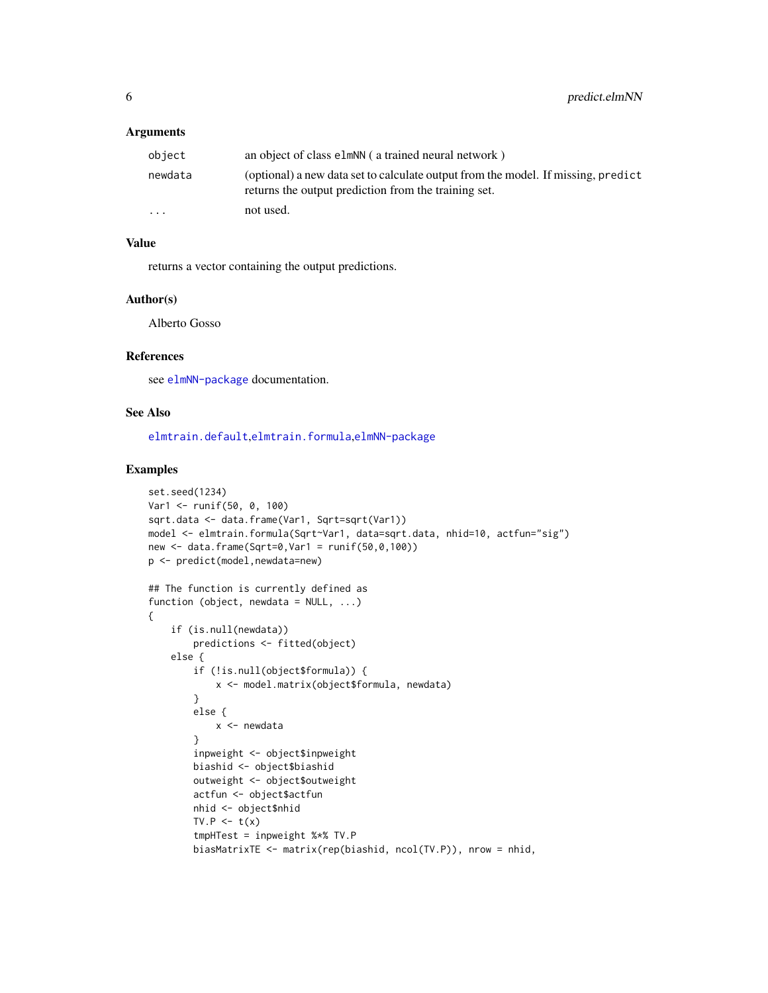# <span id="page-5-0"></span>**Arguments**

| object   | an object of class elmNN (a trained neural network)                                                                                       |
|----------|-------------------------------------------------------------------------------------------------------------------------------------------|
| newdata  | (optional) a new data set to calculate output from the model. If missing, predict<br>returns the output prediction from the training set. |
| $\cdots$ | not used.                                                                                                                                 |

# Value

returns a vector containing the output predictions.

#### Author(s)

Alberto Gosso

# References

see [elmNN-package](#page-1-1) documentation.

# See Also

[elmtrain.default](#page-2-1),[elmtrain.formula](#page-2-1),[elmNN-package](#page-1-1)

#### Examples

```
set.seed(1234)
Var1 <- runif(50, 0, 100)
sqrt.data <- data.frame(Var1, Sqrt=sqrt(Var1))
model <- elmtrain.formula(Sqrt~Var1, data=sqrt.data, nhid=10, actfun="sig")
new <- data.frame(Sqrt=0,Var1 = runif(50,0,100))
p <- predict(model,newdata=new)
## The function is currently defined as
function (object, newdata = NULL, ...){
    if (is.null(newdata))
       predictions <- fitted(object)
    else {
       if (!is.null(object$formula)) {
           x <- model.matrix(object$formula, newdata)
        }
        else {
            x <- newdata
        }
        inpweight <- object$inpweight
       biashid <- object$biashid
        outweight <- object$outweight
        actfun <- object$actfun
       nhid <- object$nhid
       TV.P \leq t(x)tmpHTest = inpweight %*% TV.P
       biasMatrixTE <- matrix(rep(biashid, ncol(TV.P)), nrow = nhid,
```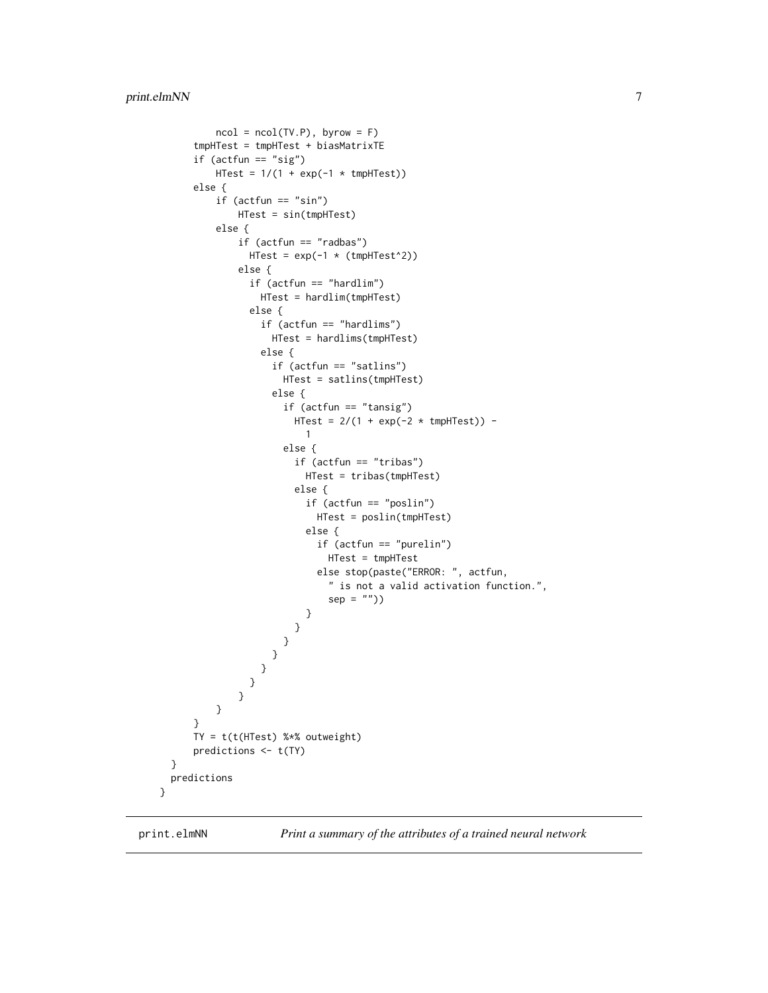```
ncol = ncol(TV.P), byrow = F)
      tmpHTest = tmpHTest + biasMatrixTE
      if (actfun == "sig")
          HTest = 1/(1 + \exp(-1 \times \text{tmpHTest}))else {
          if (actfun == "sin")HTest = sin(tmpHTest)
          else {
              if (actfun == "radbas")
                HTest = exp(-1 \times (tmpHTest^2))else {
                if (actfun == "hardlim")
                  HTest = hardlim(tmpHTest)
                else {
                  if (actfun == "hardlims")
                    HTest = hardlims(tmpHTest)
                  else {
                    if (actfun == "satlins")
                      HTest = satlins(tmpHTest)
                    else {
                       if (actfun == "tansig")
                         HTest = 2/(1 + \exp(-2 \times \text{tmpHTest})) -
                          1
                       else {
                         if (actfun == "tribas")
                           HTest = tribas(tmpHTest)
                         else {
                           if (actfun == "poslin")
                             HTest = poslin(tmpHTest)
                           else {
                             if (actfun == "purelin")
                               HTest = tmpHTest
                             else stop(paste("ERROR: ", actfun,
                               " is not a valid activation function.",
                               sep = "")}
                        }
                      }
                    }
                  }
                }
              }
          }
      }
      TY = t(t(HTest) %*% outweight)
      predictions <- t(TY)
 }
 predictions
}
```
print.elmNN *Print a summary of the attributes of a trained neural network*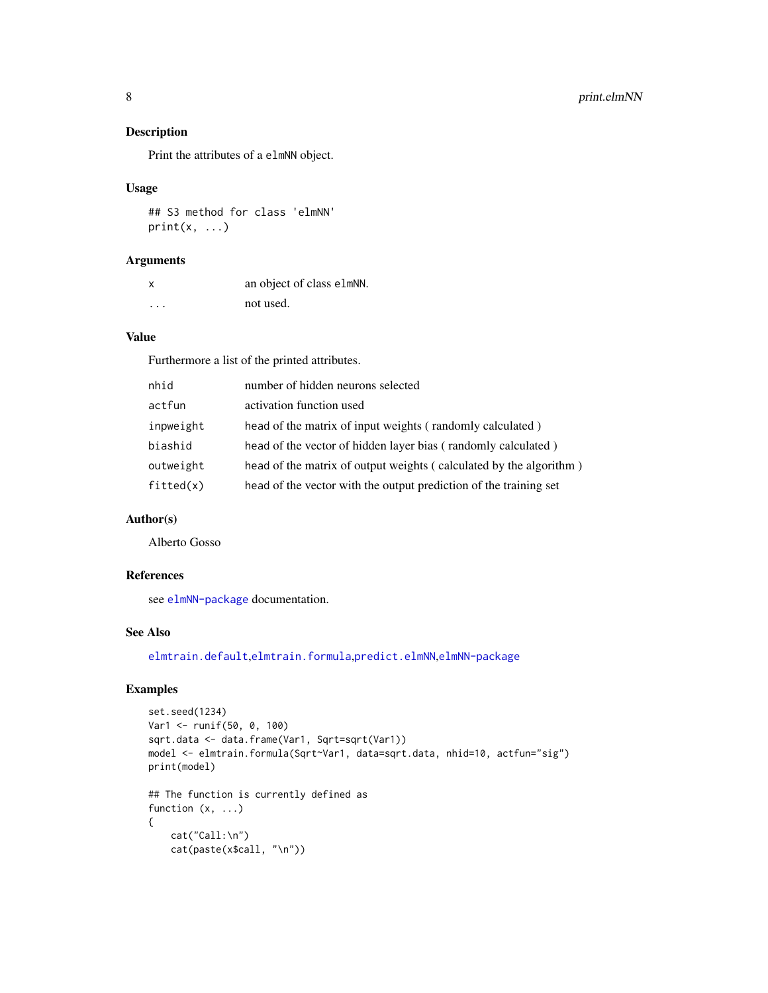# Description

Print the attributes of a elmNN object.

#### Usage

## S3 method for class 'elmNN'  $print(x, \ldots)$ 

# Arguments

| $\boldsymbol{\mathsf{x}}$ | an object of class elmNN. |
|---------------------------|---------------------------|
| .                         | not used.                 |

# Value

Furthermore a list of the printed attributes.

| nhid      | number of hidden neurons selected                                  |
|-----------|--------------------------------------------------------------------|
| actfun    | activation function used                                           |
| inpweight | head of the matrix of input weights (randomly calculated)          |
| biashid   | head of the vector of hidden layer bias (randomly calculated)      |
| outweight | head of the matrix of output weights (calculated by the algorithm) |
| fitted(x) | head of the vector with the output prediction of the training set  |

# Author(s)

Alberto Gosso

# References

see [elmNN-package](#page-1-1) documentation.

#### See Also

[elmtrain.default](#page-2-1),[elmtrain.formula](#page-2-1),[predict.elmNN](#page-4-1),[elmNN-package](#page-1-1)

# Examples

```
set.seed(1234)
Var1 <- runif(50, 0, 100)
sqrt.data <- data.frame(Var1, Sqrt=sqrt(Var1))
model <- elmtrain.formula(Sqrt~Var1, data=sqrt.data, nhid=10, actfun="sig")
print(model)
## The function is currently defined as
function (x, ...)
{
   cat("Call:\n")
   cat(paste(x$call, "\n"))
```
<span id="page-7-0"></span>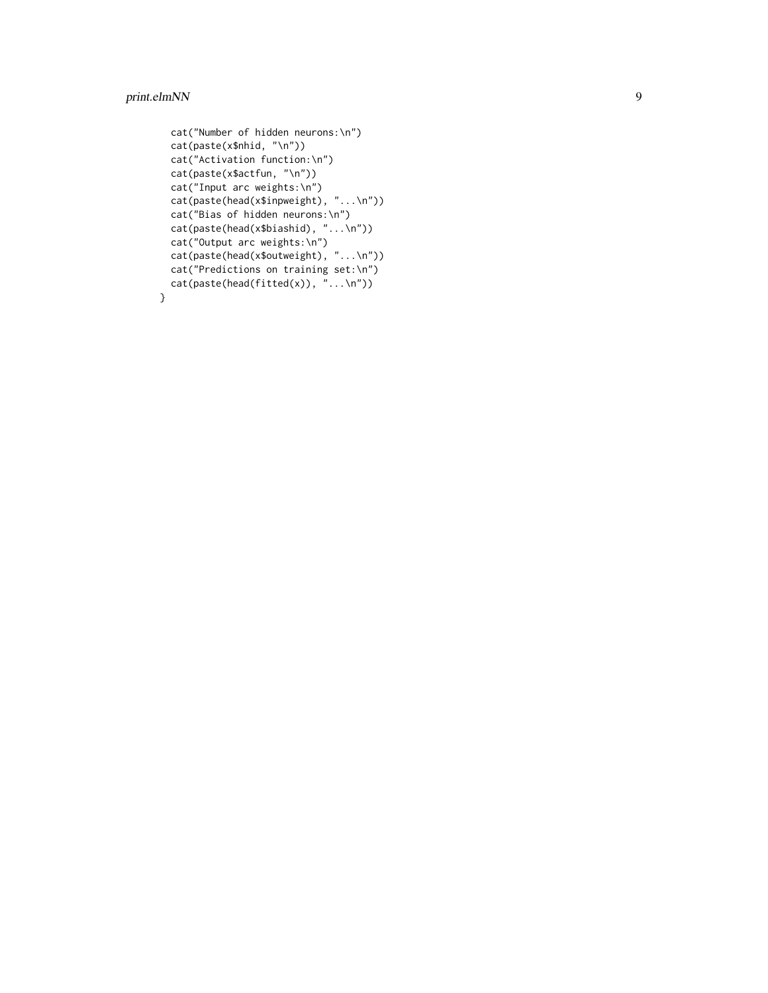# print.elmNN

}

```
cat("Number of hidden neurons:\n")
cat(paste(x$nhid, "\n"))
cat("Activation function:\n")
cat(paste(x$actfun, "\n"))
cat("Input arc weights:\n")
cat(paste(head(x$inpweight), "...\n"))
cat("Bias of hidden neurons:\n")
cat(paste(head(x$biashid), "...\n"))
cat("Output arc weights:\n")
cat(paste(head(x$outweight), "...\n"))
cat("Predictions on training set:\n")
cat(paste(head(fitted(x)), "...\\n"))
```